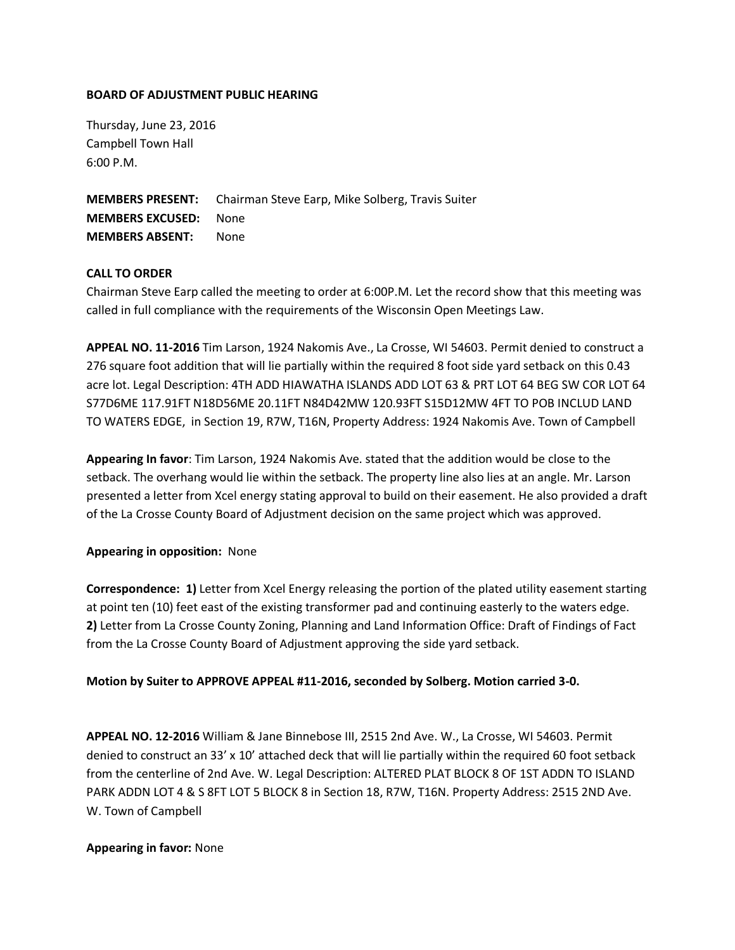### **BOARD OF ADJUSTMENT PUBLIC HEARING**

Thursday, June 23, 2016 Campbell Town Hall 6:00 P.M.

**MEMBERS PRESENT:** Chairman Steve Earp, Mike Solberg, Travis Suiter **MEMBERS EXCUSED:** None **MEMBERS ABSENT:** None

## **CALL TO ORDER**

Chairman Steve Earp called the meeting to order at 6:00P.M. Let the record show that this meeting was called in full compliance with the requirements of the Wisconsin Open Meetings Law.

**APPEAL NO. 11-2016** Tim Larson, 1924 Nakomis Ave., La Crosse, WI 54603. Permit denied to construct a 276 square foot addition that will lie partially within the required 8 foot side yard setback on this 0.43 acre lot. Legal Description: 4TH ADD HIAWATHA ISLANDS ADD LOT 63 & PRT LOT 64 BEG SW COR LOT 64 S77D6ME 117.91FT N18D56ME 20.11FT N84D42MW 120.93FT S15D12MW 4FT TO POB INCLUD LAND TO WATERS EDGE, in Section 19, R7W, T16N, Property Address: 1924 Nakomis Ave. Town of Campbell

**Appearing In favor**: Tim Larson, 1924 Nakomis Ave. stated that the addition would be close to the setback. The overhang would lie within the setback. The property line also lies at an angle. Mr. Larson presented a letter from Xcel energy stating approval to build on their easement. He also provided a draft of the La Crosse County Board of Adjustment decision on the same project which was approved.

## **Appearing in opposition:** None

**Correspondence: 1)** Letter from Xcel Energy releasing the portion of the plated utility easement starting at point ten (10) feet east of the existing transformer pad and continuing easterly to the waters edge. **2)** Letter from La Crosse County Zoning, Planning and Land Information Office: Draft of Findings of Fact from the La Crosse County Board of Adjustment approving the side yard setback.

#### **Motion by Suiter to APPROVE APPEAL #11-2016, seconded by Solberg. Motion carried 3-0.**

**APPEAL NO. 12-2016** William & Jane Binnebose III, 2515 2nd Ave. W., La Crosse, WI 54603. Permit denied to construct an 33' x 10' attached deck that will lie partially within the required 60 foot setback from the centerline of 2nd Ave. W. Legal Description: ALTERED PLAT BLOCK 8 OF 1ST ADDN TO ISLAND PARK ADDN LOT 4 & S 8FT LOT 5 BLOCK 8 in Section 18, R7W, T16N. Property Address: 2515 2ND Ave. W. Town of Campbell

#### **Appearing in favor:** None